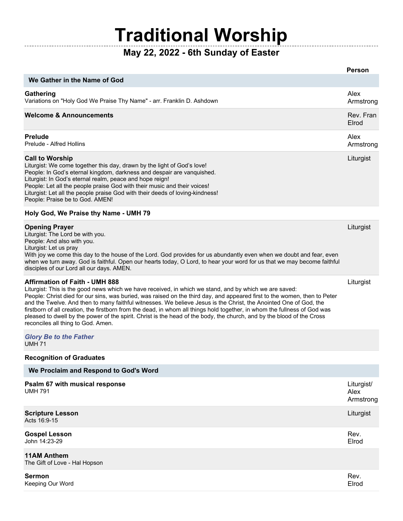## **Traditional Worship**

-----------

## **May 22, 2022 - 6th Sunday of Easter**

|                                                                                                                                                                                                                                                                                                                                                                                                                                                                                                                                                                                                                                                                                                | <b>Person</b>                   |
|------------------------------------------------------------------------------------------------------------------------------------------------------------------------------------------------------------------------------------------------------------------------------------------------------------------------------------------------------------------------------------------------------------------------------------------------------------------------------------------------------------------------------------------------------------------------------------------------------------------------------------------------------------------------------------------------|---------------------------------|
| We Gather in the Name of God                                                                                                                                                                                                                                                                                                                                                                                                                                                                                                                                                                                                                                                                   |                                 |
| Gathering<br>Variations on "Holy God We Praise Thy Name" - arr. Franklin D. Ashdown                                                                                                                                                                                                                                                                                                                                                                                                                                                                                                                                                                                                            | Alex<br>Armstrong               |
| <b>Welcome &amp; Announcements</b>                                                                                                                                                                                                                                                                                                                                                                                                                                                                                                                                                                                                                                                             | Rev. Fran<br>Elrod              |
| <b>Prelude</b><br>Prelude - Alfred Hollins                                                                                                                                                                                                                                                                                                                                                                                                                                                                                                                                                                                                                                                     | Alex<br>Armstrong               |
| <b>Call to Worship</b><br>Liturgist: We come together this day, drawn by the light of God's love!<br>People: In God's eternal kingdom, darkness and despair are vanquished.<br>Liturgist: In God's eternal realm, peace and hope reign!<br>People: Let all the people praise God with their music and their voices!<br>Liturgist: Let all the people praise God with their deeds of loving-kindness!<br>People: Praise be to God. AMEN!                                                                                                                                                                                                                                                        | Liturgist                       |
| Holy God, We Praise thy Name - UMH 79                                                                                                                                                                                                                                                                                                                                                                                                                                                                                                                                                                                                                                                          |                                 |
| <b>Opening Prayer</b><br>Liturgist: The Lord be with you.<br>People: And also with you.<br>Liturgist: Let us pray<br>With joy we come this day to the house of the Lord. God provides for us abundantly even when we doubt and fear, even<br>when we turn away. God is faithful. Open our hearts today, O Lord, to hear your word for us that we may become faithful<br>disciples of our Lord all our days. AMEN.                                                                                                                                                                                                                                                                              | Liturgist                       |
| <b>Affirmation of Faith - UMH 888</b><br>Liturgist: This is the good news which we have received, in which we stand, and by which we are saved:<br>People: Christ died for our sins, was buried, was raised on the third day, and appeared first to the women, then to Peter<br>and the Twelve. And then to many faithful witnesses. We believe Jesus is the Christ, the Anointed One of God, the<br>firstborn of all creation, the firstborn from the dead, in whom all things hold together, in whom the fullness of God was<br>pleased to dwell by the power of the spirit. Christ is the head of the body, the church, and by the blood of the Cross<br>reconciles all thing to God. Amen. | Liturgist                       |
| <b>Glory Be to the Father</b><br><b>UMH 71</b>                                                                                                                                                                                                                                                                                                                                                                                                                                                                                                                                                                                                                                                 |                                 |
| <b>Recognition of Graduates</b>                                                                                                                                                                                                                                                                                                                                                                                                                                                                                                                                                                                                                                                                |                                 |
| We Proclaim and Respond to God's Word                                                                                                                                                                                                                                                                                                                                                                                                                                                                                                                                                                                                                                                          |                                 |
| Psalm 67 with musical response<br><b>UMH 791</b>                                                                                                                                                                                                                                                                                                                                                                                                                                                                                                                                                                                                                                               | Liturgist/<br>Alex<br>Armstrong |
| <b>Scripture Lesson</b><br>Acts 16:9-15                                                                                                                                                                                                                                                                                                                                                                                                                                                                                                                                                                                                                                                        | Liturgist                       |
| <b>Gospel Lesson</b><br>John 14:23-29                                                                                                                                                                                                                                                                                                                                                                                                                                                                                                                                                                                                                                                          | Rev.<br>Elrod                   |
| <b>11AM Anthem</b><br>The Gift of Love - Hal Hopson                                                                                                                                                                                                                                                                                                                                                                                                                                                                                                                                                                                                                                            |                                 |

| Sermon<br>Keeping Our Word | Rev.<br>Elrod |
|----------------------------|---------------|